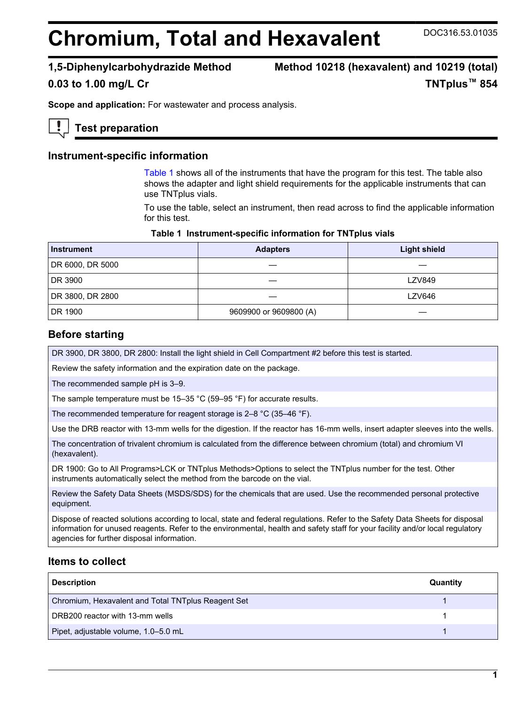# **Chromium, Total and Hexavalent** DOC316.53.01035

**1,5-Diphenylcarbohydrazide Method Method 10218 (hexavalent) and 10219 (total) 0.03 to 1.00 mg/L Cr TNTplus™ 854**

**Scope and application:** For wastewater and process analysis.

# **Test preparation**

#### **Instrument-specific information**

[Table 1](#page-0-0) shows all of the instruments that have the program for this test. The table also shows the adapter and light shield requirements for the applicable instruments that can use TNTplus vials.

To use the table, select an instrument, then read across to find the applicable information for this test.

| Table 1 Instrument-specific information for TNTplus vials |  |  |  |  |  |
|-----------------------------------------------------------|--|--|--|--|--|
|-----------------------------------------------------------|--|--|--|--|--|

<span id="page-0-1"></span><span id="page-0-0"></span>

| <b>Instrument</b> | <b>Adapters</b>        | <b>Light shield</b> |
|-------------------|------------------------|---------------------|
| DR 6000, DR 5000  |                        |                     |
| DR 3900           |                        | <b>LZV849</b>       |
| DR 3800, DR 2800  |                        | <b>LZV646</b>       |
| DR 1900           | 9609900 or 9609800 (A) |                     |

### **Before starting**

DR 3900, DR 3800, DR 2800: Install the light shield in Cell Compartment #2 before this test is started.

Review the safety information and the expiration date on the package.

The recommended sample pH is 3–9.

The sample temperature must be 15–35 °C (59–95 °F) for accurate results.

The recommended temperature for reagent storage is 2–8 °C (35–46 °F).

Use the DRB reactor with 13-mm wells for the digestion. If the reactor has 16-mm wells, insert adapter sleeves into the wells.

The concentration of trivalent chromium is calculated from the difference between chromium (total) and chromium VI (hexavalent).

DR 1900: Go to All Programs>LCK or TNTplus Methods>Options to select the TNTplus number for the test. Other instruments automatically select the method from the barcode on the vial.

Review the Safety Data Sheets (MSDS/SDS) for the chemicals that are used. Use the recommended personal protective equipment.

Dispose of reacted solutions according to local, state and federal regulations. Refer to the Safety Data Sheets for disposal information for unused reagents. Refer to the environmental, health and safety staff for your facility and/or local regulatory agencies for further disposal information.

### **Items to collect**

| <b>Description</b>                                 | Quantity |
|----------------------------------------------------|----------|
| Chromium, Hexavalent and Total TNTplus Reagent Set |          |
| DRB200 reactor with 13-mm wells                    |          |
| Pipet, adjustable volume, 1.0–5.0 mL               |          |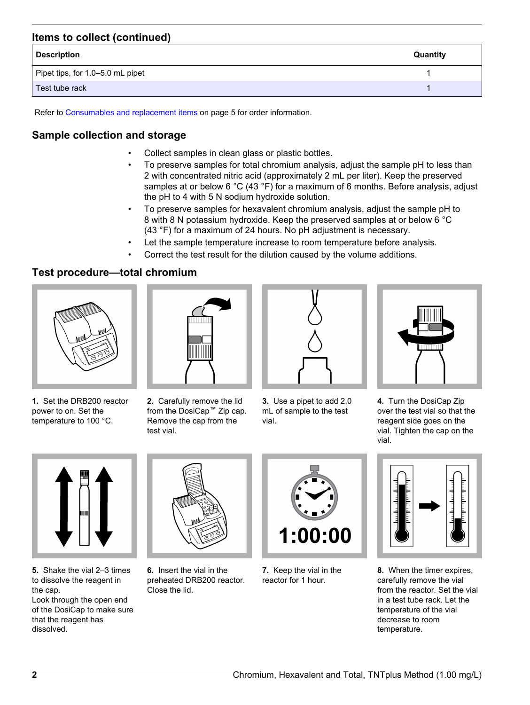# **Items to collect (continued)**

| <b>Description</b>               | Quantity |
|----------------------------------|----------|
| Pipet tips, for 1.0-5.0 mL pipet |          |
| Test tube rack                   |          |

Refer to [Consumables and replacement items](#page-4-0) on page 5 for order information.

# **Sample collection and storage**

- Collect samples in clean glass or plastic bottles.
- To preserve samples for total chromium analysis, adjust the sample pH to less than 2 with concentrated nitric acid (approximately 2 mL per liter). Keep the preserved samples at or below 6 °C (43 °F) for a maximum of 6 months. Before analysis, adjust the pH to 4 with 5 N sodium hydroxide solution.
- To preserve samples for hexavalent chromium analysis, adjust the sample pH to 8 with 8 N potassium hydroxide. Keep the preserved samples at or below 6 °C (43 °F) for a maximum of 24 hours. No pH adjustment is necessary.
- Let the sample temperature increase to room temperature before analysis.
- Correct the test result for the dilution caused by the volume additions.

# **Test procedure—total chromium**



**1.** Set the DRB200 reactor power to on. Set the temperature to 100 °C.



**2.** Carefully remove the lid from the DosiCap™ Zip cap. Remove the cap from the test vial.



**3.** Use a pipet to add 2.0 mL of sample to the test vial.



**4.** Turn the DosiCap Zip over the test vial so that the reagent side goes on the vial. Tighten the cap on the vial.



**5.** Shake the vial 2–3 times to dissolve the reagent in the cap. Look through the open end

of the DosiCap to make sure that the reagent has dissolved.



**6.** Insert the vial in the preheated DRB200 reactor. Close the lid.



**7.** Keep the vial in the reactor for 1 hour.



**8.** When the timer expires, carefully remove the vial from the reactor. Set the vial in a test tube rack. Let the temperature of the vial decrease to room temperature.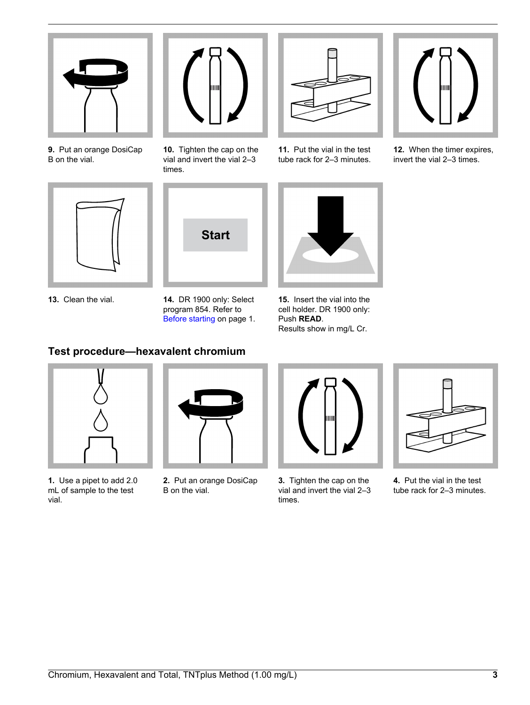

**9.** Put an orange DosiCap B on the vial.



**13.** Clean the vial.



**10.** Tighten the cap on the vial and invert the vial 2–3 times.

**Start**

**14.** DR 1900 only: Select program 854. Refer to [Before starting](#page-0-1) on page 1.

**11.** Put the vial in the test tube rack for 2–3 minutes.



**15.** Insert the vial into the cell holder. DR 1900 only: Push **READ**. Results show in mg/L Cr.

# **Test procedure—hexavalent chromium**



**1.** Use a pipet to add 2.0 mL of sample to the test vial.



**2.** Put an orange DosiCap B on the vial.



**3.** Tighten the cap on the vial and invert the vial 2–3 times.



**4.** Put the vial in the test tube rack for 2–3 minutes.



**12.** When the timer expires, invert the vial 2–3 times.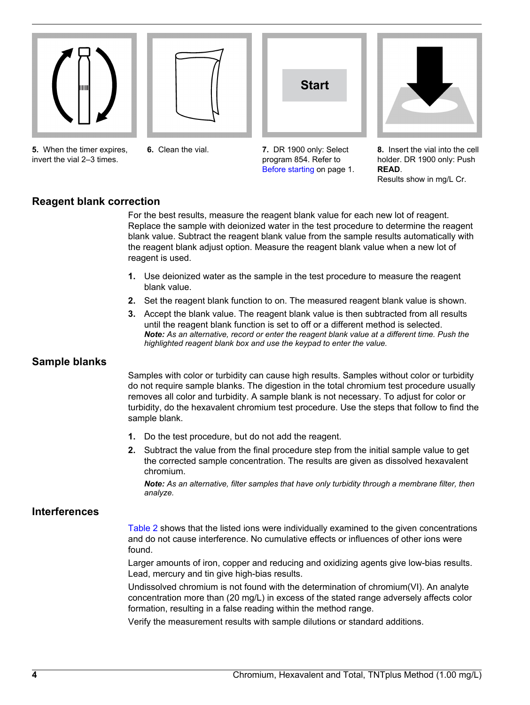







**5.** When the timer expires, invert the vial 2–3 times.

**6.** Clean the vial.

**7.** DR 1900 only: Select program 854. Refer to [Before starting](#page-0-1) on page 1.

**8.** Insert the vial into the cell holder. DR 1900 only: Push **READ**.

Results show in mg/L Cr.

# **Reagent blank correction**

For the best results, measure the reagent blank value for each new lot of reagent. Replace the sample with deionized water in the test procedure to determine the reagent blank value. Subtract the reagent blank value from the sample results automatically with the reagent blank adjust option. Measure the reagent blank value when a new lot of reagent is used.

- **1.** Use deionized water as the sample in the test procedure to measure the reagent blank value.
- **2.** Set the reagent blank function to on. The measured reagent blank value is shown.
- **3.** Accept the blank value. The reagent blank value is then subtracted from all results until the reagent blank function is set to off or a different method is selected. *Note: As an alternative, record or enter the reagent blank value at a different time. Push the highlighted reagent blank box and use the keypad to enter the value.*

# **Sample blanks**

Samples with color or turbidity can cause high results. Samples without color or turbidity do not require sample blanks. The digestion in the total chromium test procedure usually removes all color and turbidity. A sample blank is not necessary. To adjust for color or turbidity, do the hexavalent chromium test procedure. Use the steps that follow to find the sample blank.

- **1.** Do the test procedure, but do not add the reagent.
- **2.** Subtract the value from the final procedure step from the initial sample value to get the corrected sample concentration. The results are given as dissolved hexavalent chromium.

*Note: As an alternative, filter samples that have only turbidity through a membrane filter, then analyze.*

# **Interferences**

[Table 2](#page-4-1) shows that the listed ions were individually examined to the given concentrations and do not cause interference. No cumulative effects or influences of other ions were found.

Larger amounts of iron, copper and reducing and oxidizing agents give low-bias results. Lead, mercury and tin give high-bias results.

Undissolved chromium is not found with the determination of chromium(VI). An analyte concentration more than (20 mg/L) in excess of the stated range adversely affects color formation, resulting in a false reading within the method range.

Verify the measurement results with sample dilutions or standard additions.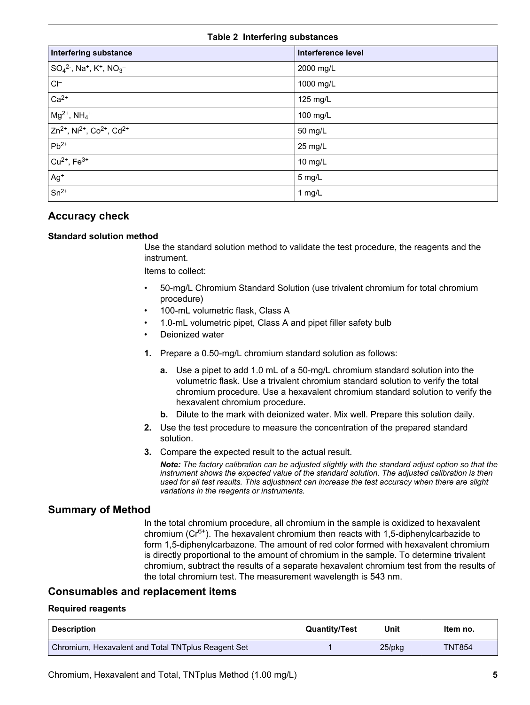#### **Table 2 Interfering substances**

<span id="page-4-1"></span>

| <b>Interfering substance</b>                                                            | Interference level |
|-----------------------------------------------------------------------------------------|--------------------|
| $SO_4^2$ <sup>-</sup> , Na <sup>+</sup> , K <sup>+</sup> , NO <sub>3</sub> <sup>-</sup> | 2000 mg/L          |
| $\mathsf{C}\mathsf{I}^-$                                                                | 1000 mg/L          |
| $Ca2+$                                                                                  | 125 mg/L           |
| $Mg^{2+}$ , NH <sub>4</sub> <sup>+</sup>                                                | 100 mg/L           |
| $Zn^{2+}$ , Ni <sup>2+</sup> , Co <sup>2+</sup> , Cd <sup>2+</sup>                      | 50 mg/L            |
| $Pb^{2+}$                                                                               | 25 mg/L            |
| $Cu^{2+}$ , $Fe^{3+}$                                                                   | 10 mg/L            |
| $Ag+$                                                                                   | 5 mg/L             |
| $Sn^{2+}$                                                                               | 1 mg/L             |

# **Accuracy check**

#### **Standard solution method**

Use the standard solution method to validate the test procedure, the reagents and the instrument.

Items to collect:

- 50-mg/L Chromium Standard Solution (use trivalent chromium for total chromium procedure)
- 100-mL volumetric flask, Class A
- 1.0-mL volumetric pipet, Class A and pipet filler safety bulb
- Deionized water
- **1.** Prepare a 0.50-mg/L chromium standard solution as follows:
	- **a.** Use a pipet to add 1.0 mL of a 50-mg/L chromium standard solution into the volumetric flask. Use a trivalent chromium standard solution to verify the total chromium procedure. Use a hexavalent chromium standard solution to verify the hexavalent chromium procedure.
	- **b.** Dilute to the mark with deionized water. Mix well. Prepare this solution daily.
- **2.** Use the test procedure to measure the concentration of the prepared standard solution.
- **3.** Compare the expected result to the actual result.

*Note: The factory calibration can be adjusted slightly with the standard adjust option so that the instrument shows the expected value of the standard solution. The adjusted calibration is then used for all test results. This adjustment can increase the test accuracy when there are slight variations in the reagents or instruments.*

### **Summary of Method**

In the total chromium procedure, all chromium in the sample is oxidized to hexavalent chromium ( $Cr<sup>6+</sup>$ ). The hexavalent chromium then reacts with 1,5-diphenylcarbazide to form 1,5-diphenylcarbazone. The amount of red color formed with hexavalent chromium is directly proportional to the amount of chromium in the sample. To determine trivalent chromium, subtract the results of a separate hexavalent chromium test from the results of the total chromium test. The measurement wavelength is 543 nm.

# **Consumables and replacement items**

#### **Required reagents**

<span id="page-4-0"></span>

| <b>Description</b>                                 | <b>Quantity/Test</b> | Unit      | Item no.      |
|----------------------------------------------------|----------------------|-----------|---------------|
| Chromium, Hexavalent and Total TNTplus Reagent Set |                      | $25$ /pkq | <b>TNT854</b> |